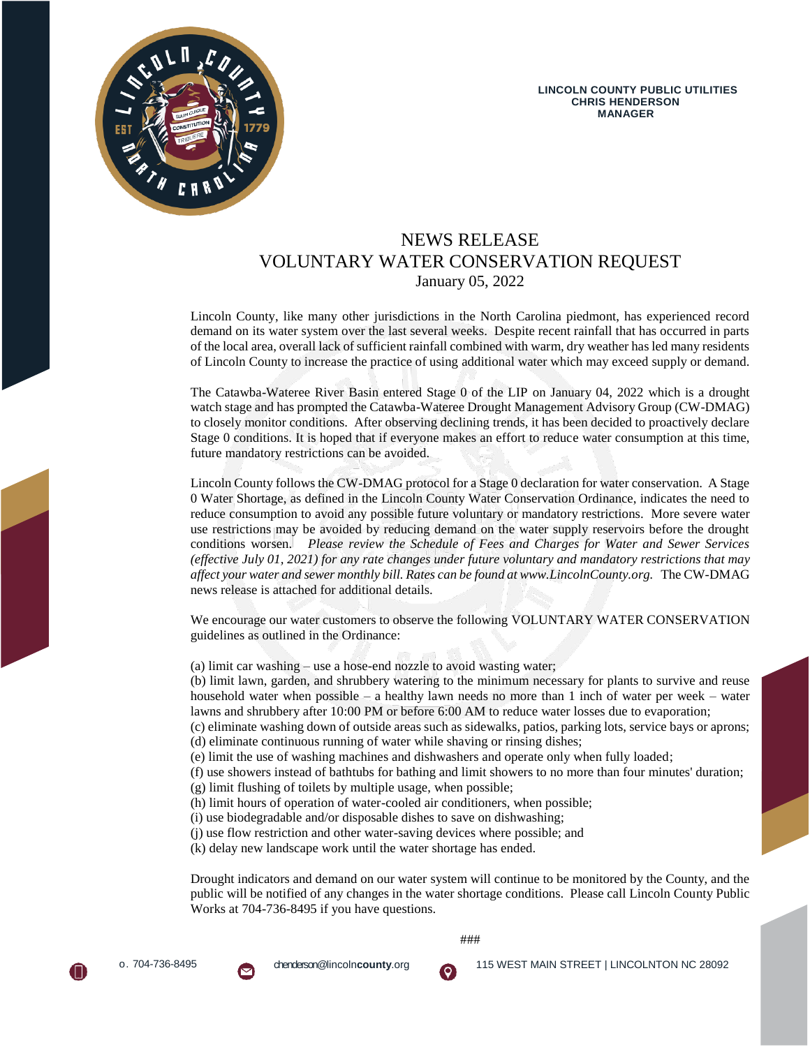

# NEWS RELEASE VOLUNTARY WATER CONSERVATION REQUEST January 05, 2022

Lincoln County, like many other jurisdictions in the North Carolina piedmont, has experienced record demand on its water system over the last several weeks. Despite recent rainfall that has occurred in parts of the local area, overall lack of sufficient rainfall combined with warm, dry weather has led many residents of Lincoln County to increase the practice of using additional water which may exceed supply or demand.

The Catawba-Wateree River Basin entered Stage 0 of the LIP on January 04, 2022 which is a drought watch stage and has prompted the Catawba-Wateree Drought Management Advisory Group (CW-DMAG) to closely monitor conditions. After observing declining trends, it has been decided to proactively declare Stage 0 conditions. It is hoped that if everyone makes an effort to reduce water consumption at this time, future mandatory restrictions can be avoided.

Lincoln County follows the CW-DMAG protocol for a Stage 0 declaration for water conservation. A Stage 0 Water Shortage, as defined in the Lincoln County Water Conservation Ordinance, indicates the need to reduce consumption to avoid any possible future voluntary or mandatory restrictions. More severe water use restrictions may be avoided by reducing demand on the water supply reservoirs before the drought conditions worsen. *Please review the Schedule of Fees and Charges for Water and Sewer Services (effective July 01, 2021) for any rate changes under future voluntary and mandatory restrictions that may affect your water and sewer monthly bill. Rates can be found at www.LincolnCounty.org.* The CW-DMAG news release is attached for additional details.

We encourage our water customers to observe the following VOLUNTARY WATER CONSERVATION guidelines as outlined in the Ordinance:

(a) limit car washing – use a hose-end nozzle to avoid wasting water;

(b) limit lawn, garden, and shrubbery watering to the minimum necessary for plants to survive and reuse household water when possible – a healthy lawn needs no more than 1 inch of water per week – water lawns and shrubbery after 10:00 PM or before 6:00 AM to reduce water losses due to evaporation;

(c) eliminate washing down of outside areas such as sidewalks, patios, parking lots, service bays or aprons; (d) eliminate continuous running of water while shaving or rinsing dishes;

(e) limit the use of washing machines and dishwashers and operate only when fully loaded;

(f) use showers instead of bathtubs for bathing and limit showers to no more than four minutes' duration;

- (g) limit flushing of toilets by multiple usage, when possible;
- (h) limit hours of operation of water-cooled air conditioners, when possible;
- (i) use biodegradable and/or disposable dishes to save on dishwashing;
- (j) use flow restriction and other water-saving devices where possible; and

(k) delay new landscape work until the water shortage has ended.

Drought indicators and demand on our water system will continue to be monitored by the County, and the public will be notified of any changes in the water shortage conditions. Please call Lincoln County Public Works at 704-736-8495 if you have questions.

###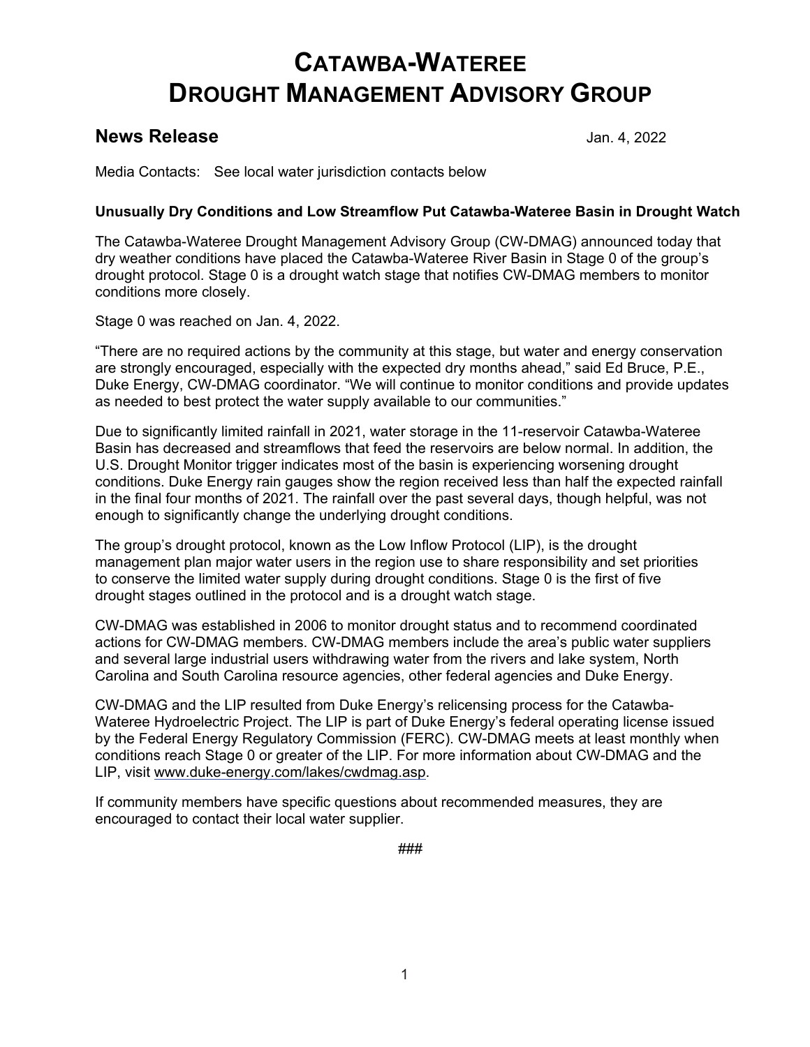# **CATAWBA-WATEREE DROUGHT MANAGEMENT ADVISORY GROUP**

# **News Release** Jan. 4, 2022

Media Contacts: See local water jurisdiction contacts below

# **Unusually Dry Conditions and Low Streamflow Put Catawba-Wateree Basin in Drought Watch**

The Catawba-Wateree Drought Management Advisory Group (CW-DMAG) announced today that dry weather conditions have placed the Catawba-Wateree River Basin in Stage 0 of the group's drought protocol. Stage 0 is a drought watch stage that notifies CW-DMAG members to monitor conditions more closely.

Stage 0 was reached on Jan. 4, 2022.

"There are no required actions by the community at this stage, but water and energy conservation are strongly encouraged, especially with the expected dry months ahead," said Ed Bruce, P.E., Duke Energy, CW-DMAG coordinator. "We will continue to monitor conditions and provide updates as needed to best protect the water supply available to our communities."

Due to significantly limited rainfall in 2021, water storage in the 11-reservoir Catawba-Wateree Basin has decreased and streamflows that feed the reservoirs are below normal. In addition, the U.S. Drought Monitor trigger indicates most of the basin is experiencing worsening drought conditions. Duke Energy rain gauges show the region received less than half the expected rainfall in the final four months of 2021. The rainfall over the past several days, though helpful, was not enough to significantly change the underlying drought conditions.

The group's drought protocol, known as the Low Inflow Protocol (LIP), is the drought management plan major water users in the region use to share responsibility and set priorities to conserve the limited water supply during drought conditions. Stage 0 is the first of five drought stages outlined in the protocol and is a drought watch stage.

CW-DMAG was established in 2006 to monitor drought status and to recommend coordinated actions for CW-DMAG members. CW-DMAG members include the area's public water suppliers and several large industrial users withdrawing water from the rivers and lake system, North Carolina and South Carolina resource agencies, other federal agencies and Duke Energy.

CW-DMAG and the LIP resulted from Duke Energy's relicensing process for the Catawba-Wateree Hydroelectric Project. The LIP is part of Duke Energy's federal operating license issued by the Federal Energy Regulatory Commission (FERC). CW-DMAG meets at least monthly when conditions reach Stage 0 or greater of the LIP. For more information about CW-DMAG and the LIP, visit [www.duke-energy.com/lakes/cwdmag.asp.](http://www.duke-energy.com/lakes/cwdmag.asp)

If community members have specific questions about recommended measures, they are encouraged to contact their local water supplier.

###